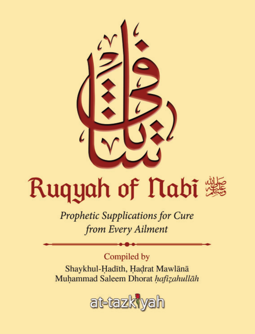

# Ruqyah of Nabi

**Prophetic Supplications for Cure** from Every Ailment

Compiled by

Shaykhul-Hadīth, Hadrat Mawlānā Muhammad Saleem Dhorat hafizahullāh

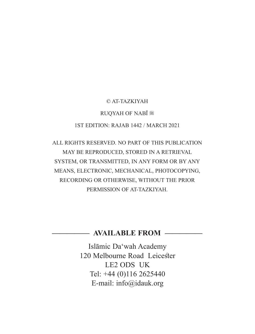#### © AT-TAZKIYAH

#### **RUOYAH OF NABĪ %**

#### 1ST EDITION: RAJAB 1442 / MARCH 2021

ALL RIGHTS RESERVED. NO PART OF THIS PUBLICATION MAY BE REPRODUCED, STORED IN A RETRIEVAL SYSTEM, OR TRANSMITTED, IN ANY FORM OR BY ANY MEANS, ELECTRONIC, MECHANICAL, PHOTOCOPYING, RECORDING OR OTHERWISE, WITHOUT THE PRIOR PERMISSION OF AT-TAZKIYAH.

#### **————— AVAILABLE FROM —————**

Islāmic Da'wah Academy 120 Melbourne Road Leicester LE2 ODS UK Tel: +44 (0)116 2625440 E-mail: info@idauk.org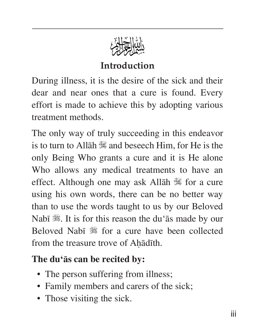

## **Introduction**

During illness, it is the desire of the sick and their dear and near ones that a cure is found. Every effort is made to achieve this by adopting various treatment methods.

The only way of truly succeeding in this endeavor is to turn to Allāh  $\mathbb$  and beseech Him, for He is the only Being Who grants a cure and it is He alone Who allows any medical treatments to have an effect. Although one may ask Allāh  $\mathbb$  for a cure using his own words, there can be no better way than to use the words taught to us by our Beloved Nabī  $\mathcal{H}$ . It is for this reason the du'ās made by our Beloved Nabī  $\frac{4}{36}$  for a cure have been collected from the treasure trove of Ahādīth.

## **The du'ās can be recited by:**

- The person suffering from illness;
- Family members and carers of the sick;
- Those visiting the sick.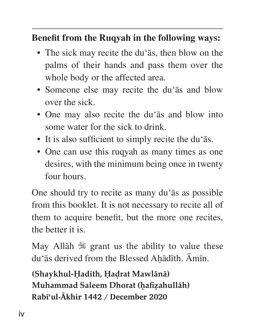#### **Benefit from the Ruqyah in the following ways:**

- The sick may recite the du'ās, then blow on the palms of their hands and pass them over the whole body or the affected area.
- Someone else may recite the du'ās and blow over the sick.
- One may also recite the du'ās and blow into some water for the sick to drink.
- It is also sufficient to simply recite the du'ās.
- One can use this ruqyah as many times as one desires, with the minimum being once in twenty four hours.

One should try to recite as many du'ās as possible from this booklet. It is not necessary to recite all of them to acquire benefit, but the more one recites, the better it is.

May Allah  $\mathbb{R}$  grant us the ability to value these du'ās derived from the Blessed Aḥādīth. Āmīn.

**(Shaykhul-Ḥadīth, Ḥaḍrat Mawlānā) Muhammad Saleem Dhorat (ḥafiẓahullāh) Rabī'ul-Ākhir 1442 / December 2020**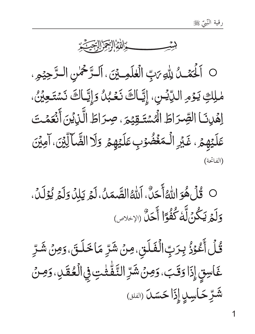

O اَلْحَمْدُ لِلْهِ رَبِّ الْعٰلَمِينَى، اَلْتَرْحَمْنِ الْتَرْحِيْمِ. مْلِكِ يَوْمِ اللَّايْسِ، إِيَّاكَ نَعْبُلُ وَإِيَّاكَ نَسْتَعِيْنُ، اِهْدِنَا الصِّرَاطَ الْمُسْتَـقِيْمَ، صِرَاطَ الَّذِيْنَ أَنْعَمْتَ عَلَيْهِمُ، غَيْرِ الْمَغُضُوْبِ عَلَيْهِمُ وَلَا الصَّالِّيْنَ، آمِيْنَ (الفاتحة)

O قُلْ هُوَ اللَّهُ أَحَلَّ، اللَّهُ الصَّمَلُ، لَمْ يَلِلُ وَلَمِّ يُؤَلِّلُ، وَلَمَ يَكُنُ لَّهُ كُفُوًا أَحَلَّ (الإخلاص)

قُلۡ أَعۡوُزُ بِرَبِّالۡفَلَقِ،مِنۡ شَرِّ مَاخَلَقَ،وَمِنۡ شَرِّ غَاسِقٍ إِذَا وَقَبَ، وَمِنْ شَرِّ النَّفّْتُتِ فِي الْعُقَلِ، وَمِنْ شَّرِّ حَاسِلٍ إِذَا حَسَنَ (الفلق)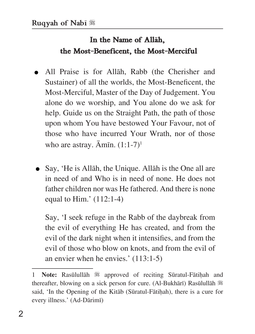#### In the Name of Allah, **the Most-Beneficent, the Most-Merciful**

- All Praise is for Allāh, Rabb (the Cherisher and Sustainer) of all the worlds, the Most-Beneficent, the Most-Merciful, Master of the Day of Judgement. You alone do we worship, and You alone do we ask for help. Guide us on the Straight Path, the path of those upon whom You have bestowed Your Favour, not of those who have incurred Your Wrath, nor of those who are astray.  $\bar{A}$ mīn.  $(1:1-7)^1$
- Say, 'He is Allāh, the Unique. Allāh is the One all are in need of and Who is in need of none. He does not father children nor was He fathered. And there is none equal to Him.'  $(112:1-4)$

 Say, 'I seek refuge in the Rabb of the daybreak from the evil of everything He has created, and from the evil of the dark night when it intensifies, and from the evil of those who blow on knots, and from the evil of an envier when he envies.' (113:1-5)

Note: Rasūlullāh  $*$  approved of reciting Sūratul-Fātiḥah and thereafter, blowing on a sick person for cure. (Al-Bukhārī) Rasūlullāh ※ said, 'In the Opening of the Kitāb (Sūratul-Fātihah), there is a cure for every illness.' (Ad-Dārimī)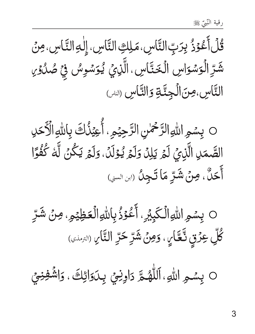ڱُلۡأَعۡوَذُ بِرَبِّ النَّاسِ، مَلِكِ النَّاسِ، إِلٰهِ النَّاسِ، مِنۡ<br>شَرِّ الۡوَسۡوَاسِ الۡخَنَّاسِ، الَّذِيۡ يُوَسۡوِسُ فِيۡ صُدُوۡىٰ<br>النَّاسِ،مِنَ الۡجِنَّةِ وَالنَّاسِ (لله

0 بِسْمِ اللّهِ الزَّحْمٰنِ الزَّحِيْمِ، أُعِيْذُكَ بِاللّهِ الْأَحَلِ<br>الصَّمَلِ الَّذِيَ لَمَّ يَلِلَّ وَلَمَّ يُوْلَدُ، وَلَمْ يَكُنَّ لَّهُ كُفُوًّا<br>أَحَلٌّ، مِنْ شَرِّ مَا تَجِلُ (ابن السي)

0 بِسْمِ اللّٰهِالۡكَبِيۡرِ. أَعُوۡذُبِاللّٰهِالۡكَظِيۡمِ. مِنۡ شَرِّ كُلِّ عِرْقٍ نَّعَّارٍ، وَمِنْ شَرِّحَرِّ النَّارِ (التَّارِ

O بِسْمِ اللهِ، اَللَّهُمَّ دَاوِنِيَ بِدَوَائِكَ، وَاشْفِنِيَ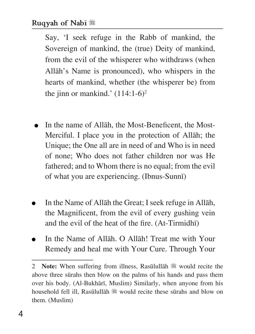Say, 'I seek refuge in the Rabb of mankind, the Sovereign of mankind, the (true) Deity of mankind, from the evil of the whisperer who withdraws (when Allāh's Name is pronounced), who whispers in the hearts of mankind, whether (the whisperer be) from the jinn or mankind.'  $(114:1-6)^2$ 

- $\bullet$  In the name of Allāh, the Most-Beneficent, the Most-Merciful. I place you in the protection of Allāh; the Unique; the One all are in need of and Who is in need of none; Who does not father children nor was He fathered; and to Whom there is no equal; from the evil of what you are experiencing. (Ibnus-Sunnī)
- In the Name of Allāh the Great; I seek refuge in Allāh, the Magnificent, from the evil of every gushing vein and the evil of the heat of the fire. (At-Tirmidhī)
- In the Name of Allāh. O Allāh! Treat me with Your Remedy and heal me with Your Cure. Through Your

<sup>2</sup> **Note:** When suffering from illness, Rasūlullāh ※ would recite the above three sūrahs then blow on the palms of his hands and pass them over his body. (Al-Bukhārī, Muslim) Similarly, when anyone from his household fell ill, Rasūlullāh  $\frac{1}{20}$  would recite these sūrahs and blow on them. (Muslim)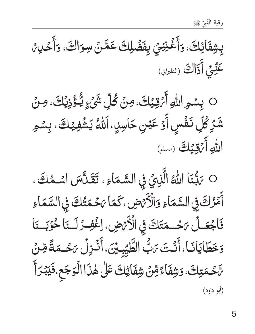بِشِفَائِكَ، وَأَغۡنِنِيَ بِفَضۡلِكَ عَمَّنۡ سِوَاكَ، وَأَحۡلِيۡ عَيِّعِي أَذَاكَ (الطبراني)



O بَبّْنَا اللّٰهُ الَّذِيِّ فِي السَّمَاءِ ، تَقَلَّسَ اسْمُكَ ، أَمْرُكَ فِي السَّمَاءِ وَالْأَرْضِ، كَمَا يَحْمَتُكَ فِي السَّمَاءِ فَاجْعَـلْ يَحْـمَتَكَ فِي الْأَيْضِ، إغْفِـرْ لَـنَا حُوْبَـنَا وَخَطَايَانَا، أَنُتَ بَبُّ الطَّيِّبِيِّنَ، أَنْزِلُ بَحُـمَةً مِّنْ ؆ٙڂڡڗڸڰؘ،وؘڜڤٲٷؚڡڹؗۺۣڤٲۯؚ۫ڬٙؾؘػڵۿۮؘٲٲڶۘٶؘڿۜٙعۥڣؘێڹؙۯٲۧ (أبو داود)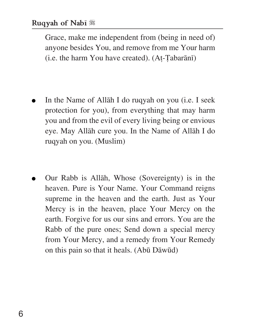Grace, make me independent from (being in need of) anyone besides You, and remove from me Your harm (i.e. the harm You have created). (Aṭ-Ṭabarānī)

- In the Name of Allāh I do ruqyah on you (i.e. I seek protection for you), from everything that may harm you and from the evil of every living being or envious eye. May Allāh cure you. In the Name of Allāh I do ruqyah on you. (Muslim)
- Our Rabb is Allāh, Whose (Sovereignty) is in the heaven. Pure is Your Name. Your Command reigns supreme in the heaven and the earth. Just as Your Mercy is in the heaven, place Your Mercy on the earth. Forgive for us our sins and errors. You are the Rabb of the pure ones; Send down a special mercy from Your Mercy, and a remedy from Your Remedy on this pain so that it heals. (Abū Dāwūd)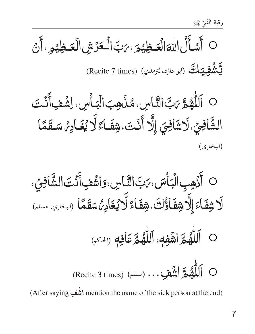

O اَللّٰهُمَّ رَبَّ النَّاسِ، مُذُهِبَ الْبَأْسِ، اِشۡفِ أَنۡتَ ا<br>الشَّافِيِّ،لَاشَافِيَ إِلَّا أَنْتَ،شِفَـاءً لَّا يُغَـادِهُ سَـقَمًا (البخاري)

○ أَذُهِبِ الْبَأْسَ، رَبَّ التَّاسِ، وَاشُفِ أَنْتَ الشَّافِيِّ، ر<br>لَا شِفَاءَ إِلَّا شِفَاؤُكَ، شِفَاءً لَّا يُغَادِمُ سَقَمًا (البحاري، مسلم)

- O اللَّهُمَّ اشُفِهِ، اللَّهُمَّ عَافِهِ (الحَمَّ)
- O اَللَّهُمْ الشَّعْبِ... (مسلم) (Recite 3 times)

(After saying أَشَّف mention the name of the sick person at the end)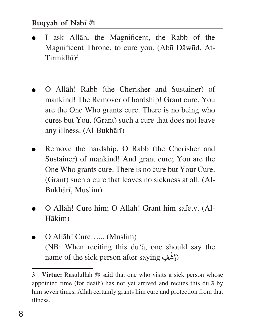- I ask Allāh, the Magnificent, the Rabb of the Magnificent Throne, to cure you. (Abū Dāwūd, At-Tirmidhī) 3
- O Allāh! Rabb (the Cherisher and Sustainer) of mankind! The Remover of hardship! Grant cure. You are the One Who grants cure. There is no being who cures but You. (Grant) such a cure that does not leave any illness. (Al-Bukhārī)
- Remove the hardship, O Rabb (the Cherisher and Sustainer) of mankind! And grant cure; You are the One Who grants cure. There is no cure but Your Cure. (Grant) such a cure that leaves no sickness at all. (Al-Bukhārī, Muslim)
- O Allāh! Cure him; O Allāh! Grant him safety. (Al-Ḥākim)
- O Allāh! Cure…... (Muslim) (NB: When reciting this du'ā, one should say the name of the sick person after saying فِ ْ (ِاش

<sup>3</sup> **Virtue:** Rasūlullāh  $\frac{4}{3}$  said that one who visits a sick person whose appointed time (for death) has not yet arrived and recites this du'ā by him seven times, Allāh certainly grants him cure and protection from that illness.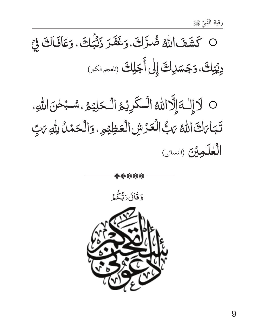## O كَشَفَ اللَّهُ ضُرَّكَ، وَغَفَرَ زَنْبُكَ ، وَعَافَاكَ فِيْ دِيۡنِكَ،وَجَسَلِكَ إِلَىٰ أَجَلِكَ لِلَّهُ ﴾

O لاَإِلَٰـةَإِلَّاللَّهُ الْـكَرِيْمُ الْـحَلِيْمُ ، سُـبُحْنَ اللَّهِ، تَبَاىَكَ اللهُ يَبُّ الْعَرْشِ الْعَظِيْمِ ، وَالْحَمْلُ اللهِ يَبِّ الكلكويين (النسائى)

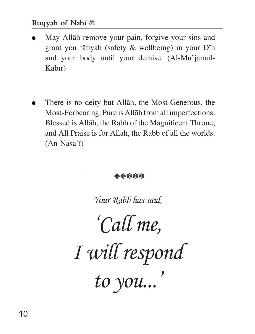- May Allāh remove your pain, forgive your sins and grant you 'āfiyah (safety & wellbeing) in your Dīn and your body until your demise. (Al-Mu'jamul-Kabīr)
- There is no deity but Allāh, the Most-Generous, the Most-Forbearing. Pure is Allāh from all imperfections. Blessed is Allāh, the Rabb of the Magnificent Throne; and All Praise is for Allāh, the Rabb of all the worlds. (An-Nasa'ī)

*Your Rabb has said, 'Call me, I will respond to you...'* <u>ይ</u>ਇ <del>ପୂ</del>ତ ପୂତ ପୂତ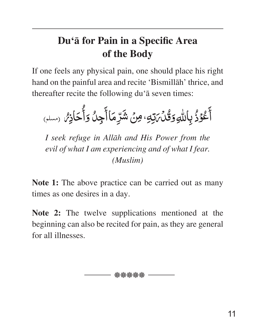## **Du'ā for Pain in a Specifi c Area of the Body**

If one feels any physical pain, one should place his right hand on the painful area and recite 'Bismillāh' thrice, and thereafter recite the following du'ā seven times:

أَعْوَذُ بِاللَّهِ وَقُدْمَ تِهِ، مِنْ شَرِّمَاأَجِنْ وَأُحَاذِهُ وسلم،

*I seek refuge in Allāh and His Power from the evil of what I am experiencing and of what I fear. (Muslim)*

**Note 1:** The above practice can be carried out as many times as one desires in a day.

**Note 2:** The twelve supplications mentioned at the beginning can also be recited for pain, as they are general for all illnesses.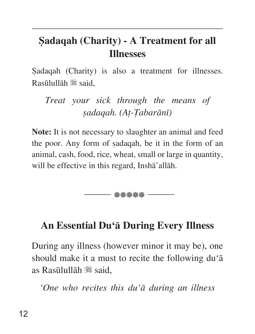## **Ṣadaqah (Charity) - A Treatment for all Illnesses**

Sadaqah (Charity) is also a treatment for illnesses.  $R$ asūlullāh  $\mathscr{H}$  said.

*Treat your sick through the means of ṣadaqah. (Aṭ-Ṭabarānī)*

**Note:** It is not necessary to slaughter an animal and feed the poor. Any form of ṣadaqah, be it in the form of an animal, cash, food, rice, wheat, small or large in quantity, will be effective in this regard, Inshā'allāh.

- abbabababab -

#### **An Essential Du'ā During Every Illness**

During any illness (however minor it may be), one should make it a must to recite the following du'ā as Rasūlullāh  $\frac{36}{36}$  said.

*'One who recites this du'ā during an illness*